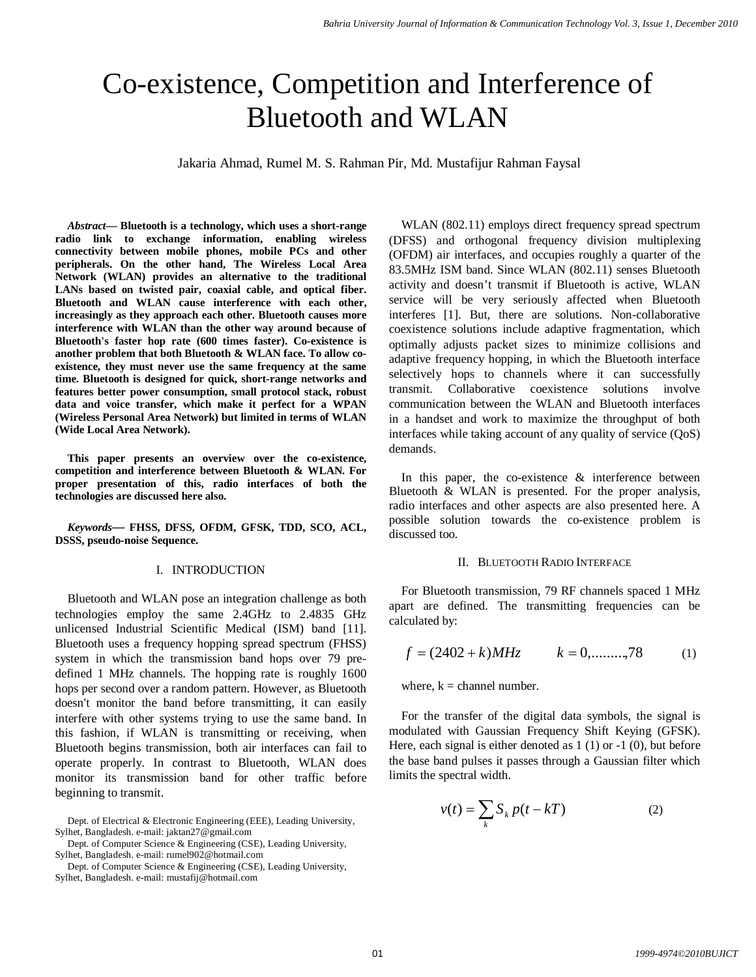# Co-existence, Competition and Interference of Bluetooth and WLAN

Jakaria Ahmad, Rumel M. S. Rahman Pir, Md. Mustafijur Rahman Faysal

*Abstract***— Bluetooth is a technology, which uses a short-range radio link to exchange information, enabling wireless connectivity between mobile phones, mobile PCs and other peripherals. On the other hand, The Wireless Local Area Network (WLAN) provides an alternative to the traditional LANs based on twisted pair, coaxial cable, and optical fiber. Bluetooth and WLAN cause interference with each other, increasingly as they approach each other. Bluetooth causes more interference with WLAN than the other way around because of Bluetooth's faster hop rate (600 times faster). Co-existence is another problem that both Bluetooth & WLAN face. To allow coexistence, they must never use the same frequency at the same time. Bluetooth is designed for quick, short-range networks and features better power consumption, small protocol stack, robust data and voice transfer, which make it perfect for a WPAN (Wireless Personal Area Network) but limited in terms of WLAN (Wide Local Area Network).**

**This paper presents an overview over the co-existence, competition and interference between Bluetooth & WLAN. For proper presentation of this, radio interfaces of both the technologies are discussed here also.**

*Keywords***— FHSS, DFSS, OFDM, GFSK, TDD, SCO, ACL, DSSS, pseudo-noise Sequence.**

## I. INTRODUCTION

Bluetooth and WLAN pose an integration challenge as both technologies employ the same 2.4GHz to 2.4835 GHz unlicensed Industrial Scientific Medical (ISM) band [11]. Bluetooth uses a frequency hopping spread spectrum (FHSS) system in which the transmission band hops over 79 predefined 1 MHz channels. The hopping rate is roughly 1600 hops per second over a random pattern. However, as Bluetooth doesn't monitor the band before transmitting, it can easily interfere with other systems trying to use the same band. In this fashion, if WLAN is transmitting or receiving, when Bluetooth begins transmission, both air interfaces can fail to operate properly. In contrast to Bluetooth, WLAN does monitor its transmission band for other traffic before beginning to transmit.

Dept. of Computer Science & Engineering (CSE), Leading University, Sylhet, Bangladesh. e-mail: rumel902@hotmail.com

Dept. of Computer Science & Engineering (CSE), Leading University, Sylhet, Bangladesh. e-mail: mustafij@hotmail.com

WLAN (802.11) employs direct frequency spread spectrum (DFSS) and orthogonal frequency division multiplexing (OFDM) air interfaces, and occupies roughly a quarter of the 83.5MHz ISM band. Since WLAN (802.11) senses Bluetooth activity and doesn't transmit if Bluetooth is active, WLAN service will be very seriously affected when Bluetooth interferes [1]. But, there are solutions. Non-collaborative coexistence solutions include adaptive fragmentation, which optimally adjusts packet sizes to minimize collisions and adaptive frequency hopping, in which the Bluetooth interface selectively hops to channels where it can successfully transmit. Collaborative coexistence solutions involve communication between the WLAN and Bluetooth interfaces in a handset and work to maximize the throughput of both interfaces while taking account of any quality of service (QoS) demands.

In this paper, the co-existence  $\&$  interference between Bluetooth & WLAN is presented. For the proper analysis, radio interfaces and other aspects are also presented here. A possible solution towards the co-existence problem is discussed too.

#### II. BLUETOOTH RADIO INTERFACE

For Bluetooth transmission, 79 RF channels spaced 1 MHz apart are defined. The transmitting frequencies can be calculated by:

$$
f = (2402 + k)MHz \qquad k = 0, \dots, 78 \tag{1}
$$

where,  $k =$  channel number.

For the transfer of the digital data symbols, the signal is modulated with Gaussian Frequency Shift Keying (GFSK). Here, each signal is either denoted as 1 (1) or -1 (0), but before the base band pulses it passes through a Gaussian filter which limits the spectral width.

$$
v(t) = \sum_{k} S_k p(t - kT)
$$
 (2)

Dept. of Electrical & Electronic Engineering (EEE), Leading University, Sylhet, Bangladesh. e-mail: jaktan27@gmail.com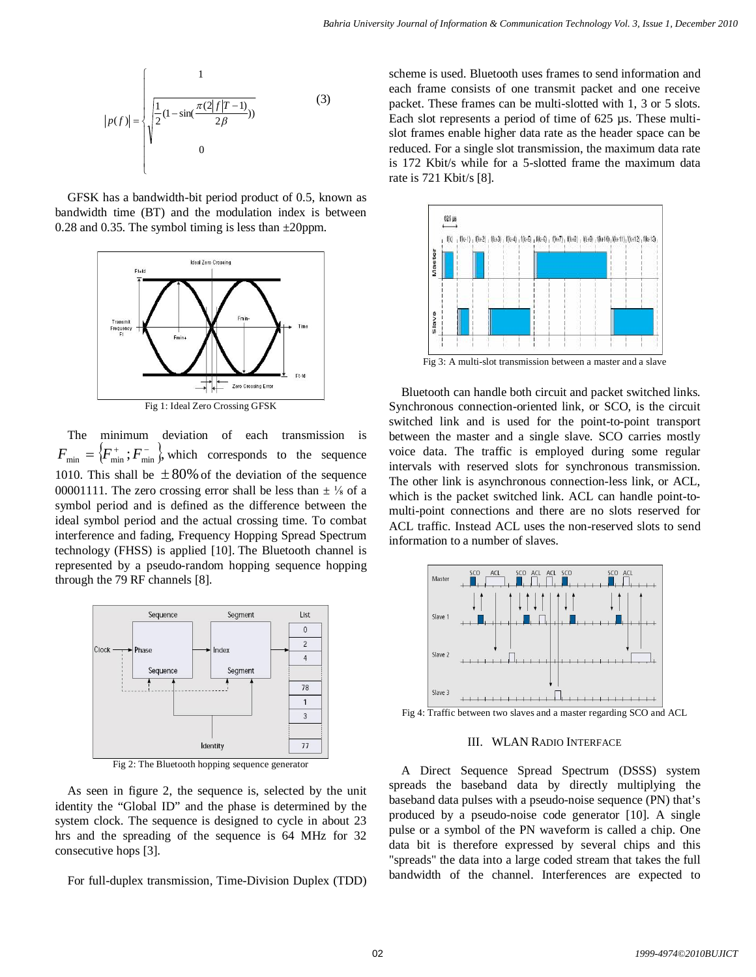$$
|p(f)| = \begin{cases} 1 & (3) \\ \sqrt{\frac{1}{2}(1 - \sin(\frac{\pi(2|f|T - 1)}{2\beta}))} & (3) \\ 0 & (3) \end{cases}
$$

GFSK has a bandwidth-bit period product of 0.5, known as bandwidth time (BT) and the modulation index is between 0.28 and 0.35. The symbol timing is less than  $\pm 20$ ppm.



Fig 1: Ideal Zero Crossing GFSK

The minimum deviation of each transmission is  $F_{\min} = \{F_{\min}^+, F_{\min}^-\}$ , which corresponds to the sequence 1010. This shall be  $\pm 80\%$  of the deviation of the sequence 00001111. The zero crossing error shall be less than  $\pm \frac{1}{8}$  of a symbol period and is defined as the difference between the ideal symbol period and the actual crossing time. To combat interference and fading, Frequency Hopping Spread Spectrum technology (FHSS) is applied [10]. The Bluetooth channel is represented by a pseudo-random hopping sequence hopping through the 79 RF channels [8].



Fig 2: The Bluetooth hopping sequence generator

As seen in figure 2, the sequence is, selected by the unit identity the "Global ID" and the phase is determined by the system clock. The sequence is designed to cycle in about 23 hrs and the spreading of the sequence is 64 MHz for 32 consecutive hops [3].

For full-duplex transmission, Time-Division Duplex (TDD)

scheme is used. Bluetooth uses frames to send information and each frame consists of one transmit packet and one receive packet. These frames can be multi-slotted with 1, 3 or 5 slots. Each slot represents a period of time of 625 µs. These multislot frames enable higher data rate as the header space can be reduced. For a single slot transmission, the maximum data rate is 172 Kbit/s while for a 5-slotted frame the maximum data rate is 721 Kbit/s [8].



Bluetooth can handle both circuit and packet switched links. Synchronous connection-oriented link, or SCO, is the circuit switched link and is used for the point-to-point transport between the master and a single slave. SCO carries mostly voice data. The traffic is employed during some regular intervals with reserved slots for synchronous transmission. The other link is asynchronous connection-less link, or ACL, which is the packet switched link. ACL can handle point-tomulti-point connections and there are no slots reserved for ACL traffic. Instead ACL uses the non-reserved slots to send information to a number of slaves.



Fig 4: Traffic between two slaves and a master regarding SCO and ACL

## III. WLAN RADIO INTERFACE

A Direct Sequence Spread Spectrum (DSSS) system spreads the baseband data by directly multiplying the baseband data pulses with a pseudo-noise sequence (PN) that's produced by a pseudo-noise code generator [10]. A single pulse or a symbol of the PN waveform is called a chip. One data bit is therefore expressed by several chips and this "spreads" the data into a large coded stream that takes the full bandwidth of the channel. Interferences are expected to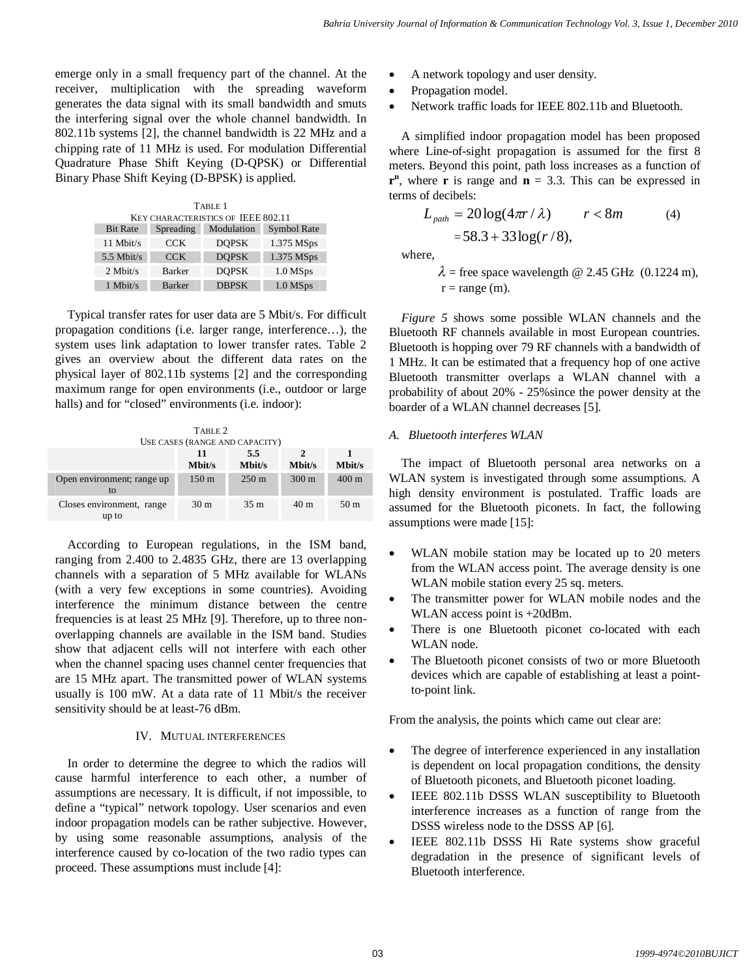emerge only in a small frequency part of the channel. At the receiver, multiplication with the spreading waveform generates the data signal with its small bandwidth and smuts the interfering signal over the whole channel bandwidth. In 802.11b systems [2], the channel bandwidth is 22 MHz and a chipping rate of 11 MHz is used. For modulation Differential Quadrature Phase Shift Keying (D-QPSK) or Differential Binary Phase Shift Keying (D-BPSK) is applied.

| TABLE 1                            |               |              |             |  |  |  |
|------------------------------------|---------------|--------------|-------------|--|--|--|
| KEY CHARACTERISTICS OF IEEE 802.11 |               |              |             |  |  |  |
| <b>Bit Rate</b>                    | Spreading     | Modulation   | Symbol Rate |  |  |  |
| $11$ Mbit/s                        | <b>CCK</b>    | <b>DOPSK</b> | 1.375 MSps  |  |  |  |
| $5.5$ Mbit/s                       | <b>CCK</b>    | <b>DOPSK</b> | 1.375 MSps  |  |  |  |
| $2$ Mbit/s                         | Barker        | <b>DOPSK</b> | 1.0 MSps    |  |  |  |
| $1$ Mbit/s                         | <b>Barker</b> | <b>DBPSK</b> | $1.0$ MSps  |  |  |  |

Typical transfer rates for user data are 5 Mbit/s. For difficult propagation conditions (i.e. larger range, interference…), the system uses link adaptation to lower transfer rates. Table 2 gives an overview about the different data rates on the physical layer of 802.11b systems [2] and the corresponding maximum range for open environments (i.e., outdoor or large halls) and for "closed" environments (i.e. indoor):

| TABLE 2<br>USE CASES (RANGE AND CAPACITY) |                  |                 |                         |                 |  |
|-------------------------------------------|------------------|-----------------|-------------------------|-----------------|--|
|                                           | 11<br>Mbit/s     | 5.5<br>Mbit/s   | $\mathcal{P}$<br>Mbit/s | Mbit/s          |  |
| Open environment; range up<br>to          | 150 <sub>m</sub> | $250 \text{ m}$ | $300 \text{ m}$         | $400 \text{ m}$ |  |
| Closes environment, range<br>up to        | 30 <sub>m</sub>  | 35 <sub>m</sub> | 40 <sub>m</sub>         | 50 <sub>m</sub> |  |

According to European regulations, in the ISM band, ranging from 2.400 to 2.4835 GHz, there are 13 overlapping channels with a separation of 5 MHz available for WLANs (with a very few exceptions in some countries). Avoiding interference the minimum distance between the centre frequencies is at least 25 MHz [9]. Therefore, up to three nonoverlapping channels are available in the ISM band. Studies show that adjacent cells will not interfere with each other when the channel spacing uses channel center frequencies that are 15 MHz apart. The transmitted power of WLAN systems usually is 100 mW. At a data rate of 11 Mbit/s the receiver sensitivity should be at least-76 dBm.

## IV. MUTUAL INTERFERENCES

In order to determine the degree to which the radios will cause harmful interference to each other, a number of assumptions are necessary. It is difficult, if not impossible, to define a "typical" network topology. User scenarios and even indoor propagation models can be rather subjective. However, by using some reasonable assumptions, analysis of the interference caused by co-location of the two radio types can proceed. These assumptions must include [4]:

- A network topology and user density.
- Propagation model.
- Network traffic loads for IEEE 802.11b and Bluetooth.

A simplified indoor propagation model has been proposed where Line-of-sight propagation is assumed for the first 8 meters. Beyond this point, path loss increases as a function of  $\mathbf{r}^n$ , where **r** is range and  $\mathbf{n} = 3.3$ . This can be expressed in terms of decibels:

$$
L_{path} = 20\log(4\pi r/\lambda) \qquad r < 8m \tag{4}
$$
\n
$$
= 58.3 + 33\log(r/8),
$$

where,

 $\lambda$  = free space wavelength @ 2.45 GHz (0.1224 m),  $r = range(m)$ .

*Figure 5* shows some possible WLAN channels and the Bluetooth RF channels available in most European countries. Bluetooth is hopping over 79 RF channels with a bandwidth of 1 MHz. It can be estimated that a frequency hop of one active Bluetooth transmitter overlaps a WLAN channel with a probability of about 20% - 25%since the power density at the boarder of a WLAN channel decreases [5].

## *A. Bluetooth interferes WLAN*

The impact of Bluetooth personal area networks on a WLAN system is investigated through some assumptions. A high density environment is postulated. Traffic loads are assumed for the Bluetooth piconets. In fact, the following assumptions were made [15]:

- WLAN mobile station may be located up to 20 meters from the WLAN access point. The average density is one WLAN mobile station every 25 sq. meters.
- The transmitter power for WLAN mobile nodes and the WLAN access point is +20dBm.
- There is one Bluetooth piconet co-located with each WLAN node.
- The Bluetooth piconet consists of two or more Bluetooth devices which are capable of establishing at least a pointto-point link.

From the analysis, the points which came out clear are:

- The degree of interference experienced in any installation is dependent on local propagation conditions, the density of Bluetooth piconets, and Bluetooth piconet loading.
- IEEE 802.11b DSSS WLAN susceptibility to Bluetooth interference increases as a function of range from the DSSS wireless node to the DSSS AP [6].
- IEEE 802.11b DSSS Hi Rate systems show graceful degradation in the presence of significant levels of Bluetooth interference.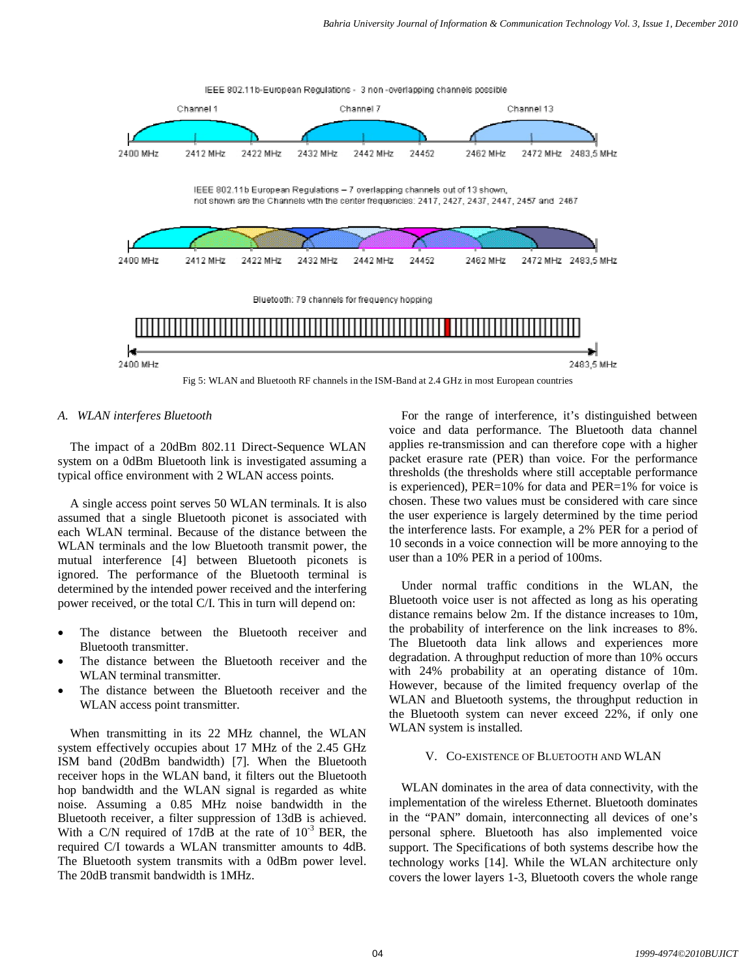

## *A. WLAN interferes Bluetooth*

The impact of a 20dBm 802.11 Direct-Sequence WLAN system on a 0dBm Bluetooth link is investigated assuming a typical office environment with 2 WLAN access points.

A single access point serves 50 WLAN terminals. It is also assumed that a single Bluetooth piconet is associated with each WLAN terminal. Because of the distance between the WLAN terminals and the low Bluetooth transmit power, the mutual interference [4] between Bluetooth piconets is ignored. The performance of the Bluetooth terminal is determined by the intended power received and the interfering power received, or the total C/I. This in turn will depend on:

- The distance between the Bluetooth receiver and Bluetooth transmitter.
- The distance between the Bluetooth receiver and the WLAN terminal transmitter.
- The distance between the Bluetooth receiver and the WLAN access point transmitter.

When transmitting in its 22 MHz channel, the WLAN system effectively occupies about 17 MHz of the 2.45 GHz ISM band (20dBm bandwidth) [7]. When the Bluetooth receiver hops in the WLAN band, it filters out the Bluetooth hop bandwidth and the WLAN signal is regarded as white noise. Assuming a 0.85 MHz noise bandwidth in the Bluetooth receiver, a filter suppression of 13dB is achieved. With a C/N required of 17dB at the rate of  $10^{-3}$  BER, the required C/I towards a WLAN transmitter amounts to 4dB. The Bluetooth system transmits with a 0dBm power level. The 20dB transmit bandwidth is 1MHz.

For the range of interference, it's distinguished between voice and data performance. The Bluetooth data channel applies re-transmission and can therefore cope with a higher packet erasure rate (PER) than voice. For the performance thresholds (the thresholds where still acceptable performance is experienced), PER=10% for data and PER=1% for voice is chosen. These two values must be considered with care since the user experience is largely determined by the time period the interference lasts. For example, a 2% PER for a period of 10 seconds in a voice connection will be more annoying to the user than a 10% PER in a period of 100ms.

Under normal traffic conditions in the WLAN, the Bluetooth voice user is not affected as long as his operating distance remains below 2m. If the distance increases to 10m, the probability of interference on the link increases to 8%. The Bluetooth data link allows and experiences more degradation. A throughput reduction of more than 10% occurs with 24% probability at an operating distance of 10m. However, because of the limited frequency overlap of the WLAN and Bluetooth systems, the throughput reduction in the Bluetooth system can never exceed 22%, if only one WLAN system is installed.

## V. CO-EXISTENCE OF BLUETOOTH AND WLAN

WLAN dominates in the area of data connectivity, with the implementation of the wireless Ethernet. Bluetooth dominates in the "PAN" domain, interconnecting all devices of one's personal sphere. Bluetooth has also implemented voice support. The Specifications of both systems describe how the technology works [14]. While the WLAN architecture only covers the lower layers 1-3, Bluetooth covers the whole range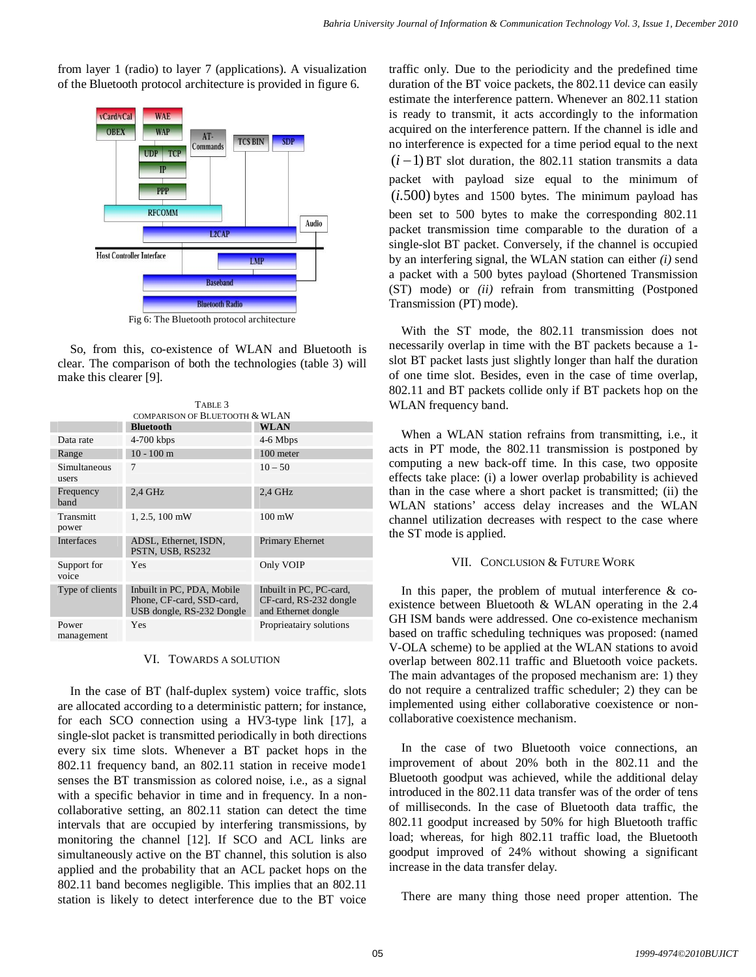from layer 1 (radio) to layer 7 (applications). A visualization of the Bluetooth protocol architecture is provided in figure 6.



So, from this, co-existence of WLAN and Bluetooth is clear. The comparison of both the technologies (table 3) will make this clearer [9].

| TABLE 3               |                                                                                      |                                                                          |  |  |
|-----------------------|--------------------------------------------------------------------------------------|--------------------------------------------------------------------------|--|--|
|                       | COMPARISON OF BLUETOOTH & WLAN                                                       |                                                                          |  |  |
|                       | <b>Bluetooth</b>                                                                     | <b>WLAN</b>                                                              |  |  |
| Data rate             | 4-700 kbps                                                                           | 4-6 Mbps                                                                 |  |  |
| Range                 | $10 - 100$ m                                                                         | 100 meter                                                                |  |  |
| Simultaneous<br>users | 7                                                                                    | $10 - 50$                                                                |  |  |
| Frequency<br>band     | $2.4$ GHz                                                                            | $2.4$ GHz                                                                |  |  |
| Transmitt<br>power    | 1, 2.5, 100 mW                                                                       | $100 \text{ mW}$                                                         |  |  |
| <b>Interfaces</b>     | ADSL, Ethernet, ISDN,<br>PSTN, USB, RS232                                            | Primary Ehernet                                                          |  |  |
| Support for<br>voice  | Yes                                                                                  | Only VOIP                                                                |  |  |
| Type of clients       | Inbuilt in PC, PDA, Mobile<br>Phone, CF-card, SSD-card,<br>USB dongle, RS-232 Dongle | Inbuilt in PC, PC-card,<br>CF-card, RS-232 dongle<br>and Ethernet dongle |  |  |
| Power<br>management   | Yes                                                                                  | Proprieatairy solutions                                                  |  |  |

VI. TOWARDS A SOLUTION

In the case of BT (half-duplex system) voice traffic, slots are allocated according to a deterministic pattern; for instance, for each SCO connection using a HV3-type link [17], a single-slot packet is transmitted periodically in both directions every six time slots. Whenever a BT packet hops in the 802.11 frequency band, an 802.11 station in receive mode1 senses the BT transmission as colored noise, i.e., as a signal with a specific behavior in time and in frequency. In a noncollaborative setting, an 802.11 station can detect the time intervals that are occupied by interfering transmissions, by monitoring the channel [12]. If SCO and ACL links are simultaneously active on the BT channel, this solution is also applied and the probability that an ACL packet hops on the 802.11 band becomes negligible. This implies that an 802.11 station is likely to detect interference due to the BT voice traffic only. Due to the periodicity and the predefined time duration of the BT voice packets, the 802.11 device can easily estimate the interference pattern. Whenever an 802.11 station is ready to transmit, it acts accordingly to the information acquired on the interference pattern. If the channel is idle and no interference is expected for a time period equal to the next  $(i-1)$  BT slot duration, the 802.11 station transmits a data packet with payload size equal to the minimum of (*i*.500) bytes and 1500 bytes. The minimum payload has been set to 500 bytes to make the corresponding 802.11 packet transmission time comparable to the duration of a single-slot BT packet. Conversely, if the channel is occupied by an interfering signal, the WLAN station can either *(i)* send a packet with a 500 bytes payload (Shortened Transmission (ST) mode) or *(ii)* refrain from transmitting (Postponed Transmission (PT) mode).

With the ST mode, the 802.11 transmission does not necessarily overlap in time with the BT packets because a 1 slot BT packet lasts just slightly longer than half the duration of one time slot. Besides, even in the case of time overlap, 802.11 and BT packets collide only if BT packets hop on the WLAN frequency band.

When a WLAN station refrains from transmitting, i.e., it acts in PT mode, the 802.11 transmission is postponed by computing a new back-off time. In this case, two opposite effects take place: (i) a lower overlap probability is achieved than in the case where a short packet is transmitted; (ii) the WLAN stations' access delay increases and the WLAN channel utilization decreases with respect to the case where the ST mode is applied.

#### VII. CONCLUSION & FUTURE WORK

In this paper, the problem of mutual interference  $\&$  coexistence between Bluetooth & WLAN operating in the 2.4 GH ISM bands were addressed. One co-existence mechanism based on traffic scheduling techniques was proposed: (named V-OLA scheme) to be applied at the WLAN stations to avoid overlap between 802.11 traffic and Bluetooth voice packets. The main advantages of the proposed mechanism are: 1) they do not require a centralized traffic scheduler; 2) they can be implemented using either collaborative coexistence or noncollaborative coexistence mechanism.

In the case of two Bluetooth voice connections, an improvement of about 20% both in the 802.11 and the Bluetooth goodput was achieved, while the additional delay introduced in the 802.11 data transfer was of the order of tens of milliseconds. In the case of Bluetooth data traffic, the 802.11 goodput increased by 50% for high Bluetooth traffic load; whereas, for high 802.11 traffic load, the Bluetooth goodput improved of 24% without showing a significant increase in the data transfer delay.

There are many thing those need proper attention. The